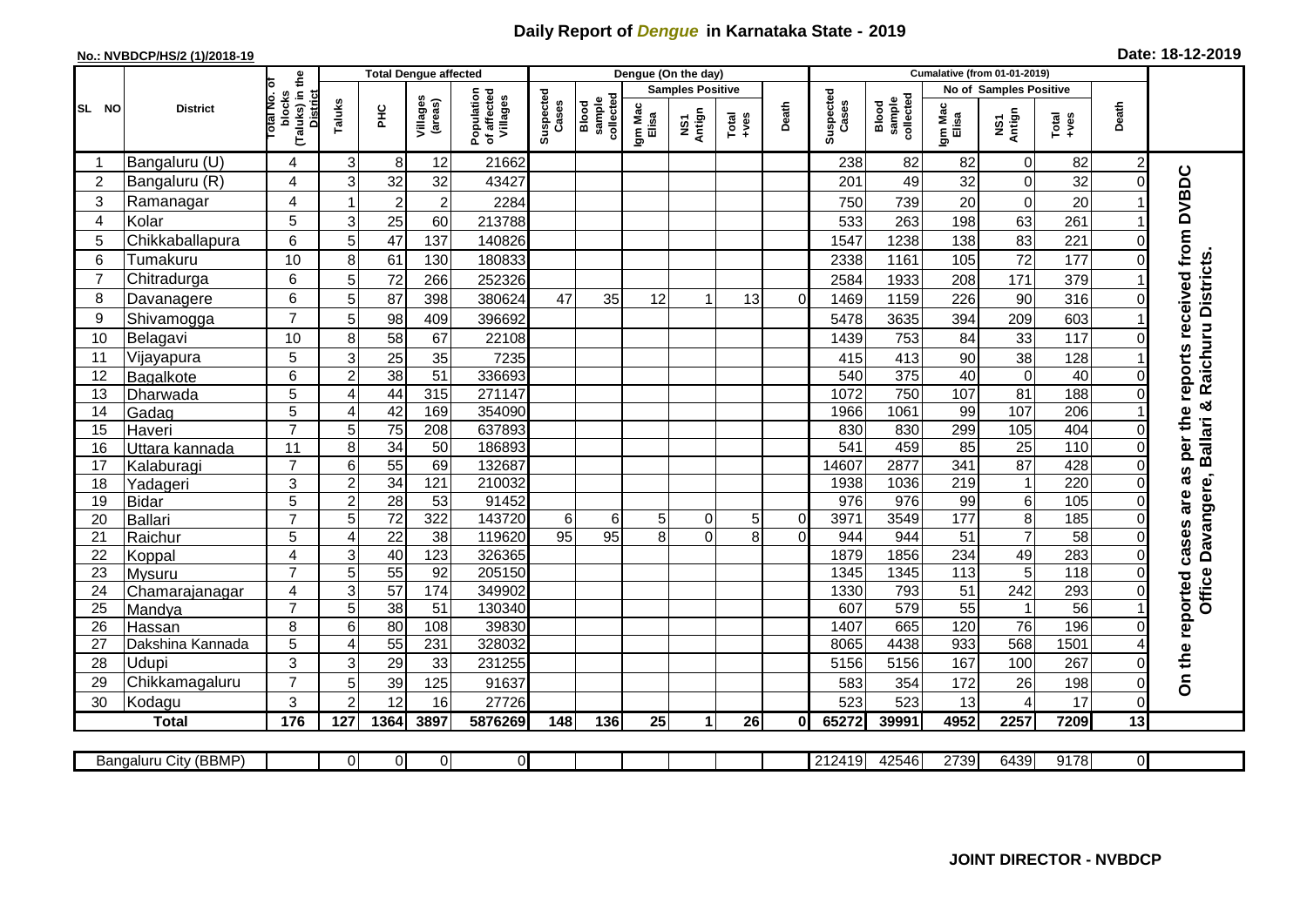## **Daily Report of** *Dengue* **in Karnataka State - 2019**

## **No.: NVBDCP/HS/2 (1)/2018-19**

| Date: 18-12-2019 |  |
|------------------|--|
|------------------|--|

|                |                            |                                                      | <b>Total Dengue affected</b> |                  |                     |                                       | Dengue (On the day) |                              |                  |                         |          |                |                    | <b>Cumalative (from 01-01-2019)</b> |                  |                                   |                  |                |                                     |  |  |
|----------------|----------------------------|------------------------------------------------------|------------------------------|------------------|---------------------|---------------------------------------|---------------------|------------------------------|------------------|-------------------------|----------|----------------|--------------------|-------------------------------------|------------------|-----------------------------------|------------------|----------------|-------------------------------------|--|--|
|                |                            |                                                      |                              |                  |                     |                                       |                     |                              |                  | <b>Samples Positive</b> |          |                |                    |                                     |                  | <b>No of Samples Positive</b>     |                  |                |                                     |  |  |
| SL NO          | <b>District</b>            | (Taluks) in the<br>District<br>otal No. ol<br>blocks | Taluks                       | <b>PHC</b>       | Villages<br>(areas) | Population<br>of affected<br>Villages | Suspected<br>Cases  | sample<br>collected<br>Blood | Igm Mac<br>Elisa | NS1<br>Antign           | $Totael$ | Death          | Suspected<br>Cases | collected<br>sample<br>Blood        | Igm Mac<br>Elisa | NS1<br>Antign                     | Total<br>+ves    | Death          |                                     |  |  |
|                | Bangaluru (U)              | 4                                                    | 3                            | 8                | 12                  | 21662                                 |                     |                              |                  |                         |          |                | 238                | 82                                  | 82               | $\mathbf 0$                       | 82               | $\overline{c}$ |                                     |  |  |
| $\overline{2}$ | Bangaluru (R)              | 4                                                    | 3                            | 32               | 32                  | 43427                                 |                     |                              |                  |                         |          |                | 201                | 49                                  | 32               | $\mathbf 0$                       | 32               | $\Omega$       |                                     |  |  |
| 3              | Ramanagar                  | 4                                                    |                              | $\boldsymbol{2}$ | $\overline{c}$      | 2284                                  |                     |                              |                  |                         |          |                | 750                | 739                                 | 20               | $\mathbf 0$                       | 20               |                | per the reports received from DVBDC |  |  |
| $\overline{4}$ | Kolar                      | 5                                                    | 3                            | 25               | 60                  | 213788                                |                     |                              |                  |                         |          |                | 533                | 263                                 | 198              | 63                                | 261              |                |                                     |  |  |
| 5              | Chikkaballapura            | 6                                                    | 5                            | 47               | 137                 | 140826                                |                     |                              |                  |                         |          |                | 1547               | 1238                                | 138              | 83                                | 221              | 0              |                                     |  |  |
| 6              | Tumakuru                   | 10                                                   | 8                            | 61               | 130                 | 180833                                |                     |                              |                  |                         |          |                | 2338               | 1161                                | 105              | 72                                | 177              | $\Omega$       |                                     |  |  |
| $\overline{7}$ | Chitradurga                | 6                                                    | 5                            | 72               | 266                 | 252326                                |                     |                              |                  |                         |          |                | 2584               | 1933                                | 208              | 171                               | 379              |                |                                     |  |  |
| 8              | Davanagere                 | 6                                                    | 5                            | $\overline{87}$  | 398                 | 380624                                | 47                  | 35                           | 12               |                         | 13       | $\Omega$       | 1469               | 1159                                | 226              | 90                                | 316              | $\Omega$       | Raichuru Districts                  |  |  |
| 9              | Shivamogga                 | $\overline{7}$                                       | 5                            | 98               | 409                 | 396692                                |                     |                              |                  |                         |          |                | 5478               | 3635                                | 394              | 209                               | 603              |                |                                     |  |  |
| 10             | Belagavi                   | 10                                                   | 8                            | 58               | 67                  | 22108                                 |                     |                              |                  |                         |          |                | 1439               | 753                                 | 84               | 33                                | 117              | 0              |                                     |  |  |
| 11             | Vijayapura                 | 5                                                    | 3                            | $\overline{25}$  | 35                  | 7235                                  |                     |                              |                  |                         |          |                | 415                | 413                                 | 90               | $\overline{38}$                   | 128              |                |                                     |  |  |
| 12             | Bagalkote                  | 6                                                    | $\overline{2}$               | 38               | 51                  | 336693                                |                     |                              |                  |                         |          |                | 540                | 375                                 | 40               | $\overline{0}$                    | 40               | $\Omega$       |                                     |  |  |
| 13             | Dharwada                   | 5                                                    | 4                            | 44               | 315                 | 271147                                |                     |                              |                  |                         |          |                | 1072               | 750                                 | 107              | 81                                | 188              | $\Omega$       |                                     |  |  |
| 14             | Gadag                      | 5                                                    | $\overline{4}$               | 42               | 169                 | 354090                                |                     |                              |                  |                         |          |                | 1966               | 1061                                | 99               | 107                               | 206              |                | ×                                   |  |  |
| 15             | Haveri                     | $\overline{7}$                                       | 5                            | $\overline{75}$  | 208                 | 637893                                |                     |                              |                  |                         |          |                | 830                | 830                                 | 299              | 105                               | 404              | 0              |                                     |  |  |
| 16             | Uttara kannada             | 11                                                   | 8                            | $\overline{34}$  | 50                  | 186893                                |                     |                              |                  |                         |          |                | 541                | 459                                 | 85               | $\overline{25}$                   | 110              | 0              | <b>Ballari</b>                      |  |  |
| 17             | Kalaburagi                 | $\overline{7}$                                       | 6                            | 55               | 69                  | 132687                                |                     |                              |                  |                         |          |                | 14607              | 2877                                | 341              | 87                                | 428              | 0              | as                                  |  |  |
| 18             | Yadageri                   | 3                                                    | $\overline{2}$               | 34               | 121                 | 210032                                |                     |                              |                  |                         |          |                | 1938               | 1036                                | 219              | $\mathbf 1$                       | 220              | 0              |                                     |  |  |
| 19             | <b>Bidar</b>               | 5                                                    | $\overline{2}$               | 28               | $\overline{53}$     | 91452                                 |                     |                              |                  |                         |          |                | 976                | 976                                 | 99               | $\overline{6}$                    | 105              | 0              | are                                 |  |  |
| 20             | <b>Ballari</b>             | $\overline{7}$                                       | 5                            | $\overline{72}$  | $\overline{322}$    | 143720                                | $6\phantom{1}$      | 6                            | 5 <sup>1</sup>   | 0                       | 5        | $\overline{0}$ | 3971               | 3549                                | 177              | $\overline{8}$                    | 185              | $\Omega$       | Davangere,                          |  |  |
| 21             | Raichur                    | 5                                                    | 4                            | $\overline{22}$  | 38                  | 119620                                | $\overline{95}$     | 95                           | 8                | $\Omega$                | 8        | $\Omega$       | 944                | 944                                 | 51               | $\overline{7}$                    | $\overline{58}$  | 0              | cases                               |  |  |
| 22             | Koppal                     | $\overline{4}$                                       | 3                            | 40               | 123                 | 326365                                |                     |                              |                  |                         |          |                | 1879               | 1856                                | 234              | 49                                | 283              | $\Omega$       |                                     |  |  |
| 23             | Mysuru                     | $\overline{7}$                                       | 5                            | 55               | 92                  | 205150                                |                     |                              |                  |                         |          |                | 1345               | 1345                                | 113              | 5                                 | $\overline{118}$ | 0              | <b>Office</b>                       |  |  |
| 24             | Chamarajanagar             | 4<br>$\overline{7}$                                  | $\overline{3}$               | 57               | 174                 | 349902                                |                     |                              |                  |                         |          |                | 1330               | 793                                 | $\overline{51}$  | 242                               | 293              | $\Omega$       |                                     |  |  |
| 25             | Mandya                     | 8                                                    | 5                            | 38               | 51<br>108           | 130340<br>39830                       |                     |                              |                  |                         |          |                | 607                | 579<br>665                          | 55<br>120        | $\overline{1}$<br>$\overline{76}$ | 56<br>196        |                |                                     |  |  |
| 26             | Hassan<br>Dakshina Kannada | 5                                                    | 6<br>$\overline{4}$          | 80<br>55         | 231                 | 328032                                |                     |                              |                  |                         |          |                | 1407<br>8065       | 4438                                | 933              | 568                               | 1501             | 0              |                                     |  |  |
| 27<br>28       | Udupi                      | 3                                                    | 3                            | 29               | 33                  | 231255                                |                     |                              |                  |                         |          |                | 5156               | 5156                                | 167              | 100                               | 267              |                | On the reported                     |  |  |
| 29             | Chikkamagaluru             | $\overline{7}$                                       | 5                            | 39               | 125                 | 91637                                 |                     |                              |                  |                         |          |                | 583                | 354                                 | 172              | 26                                | 198              | 0              |                                     |  |  |
| 30             | Kodagu                     | 3                                                    | $\overline{2}$               | 12               | 16                  | 27726                                 |                     |                              |                  |                         |          |                | 523                | 523                                 | 13               | $\overline{4}$                    | 17               | $\Omega$       |                                     |  |  |
|                | <b>Total</b>               | 176                                                  | 127                          | 1364             | 3897                | 5876269                               | 148                 | 136                          | 25               | $\mathbf{1}$            | 26       | 0I             | 65272              | 39991                               | 4952             | 2257                              | 7209             | 13             |                                     |  |  |
|                |                            |                                                      |                              |                  |                     |                                       |                     |                              |                  |                         |          |                |                    |                                     |                  |                                   |                  |                |                                     |  |  |
|                | Bangaluru City (BBMP)      |                                                      | $\Omega$                     | $\overline{0}$   | $\overline{0}$      | $\overline{0}$                        |                     |                              |                  |                         |          |                | 212419             | 42546                               | 2739             | 6439                              | 9178             | οI             |                                     |  |  |